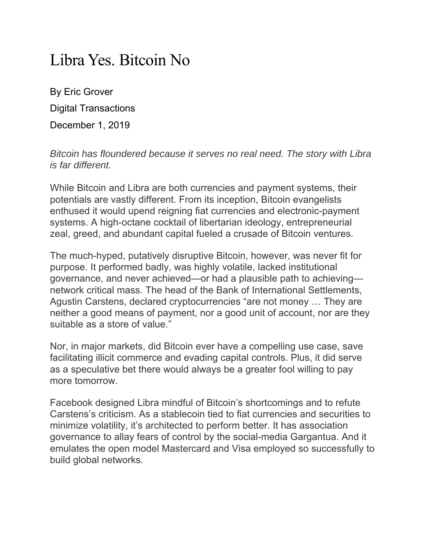## Libra Yes. Bitcoin No

By Eric Grover Digital Transactions December 1, 2019

*Bitcoin has floundered because it serves no real need. The story with Libra is far different.* 

While Bitcoin and Libra are both currencies and payment systems, their potentials are vastly different. From its inception, Bitcoin evangelists enthused it would upend reigning fiat currencies and electronic-payment systems. A high-octane cocktail of libertarian ideology, entrepreneurial zeal, greed, and abundant capital fueled a crusade of Bitcoin ventures.

The much-hyped, putatively disruptive Bitcoin, however, was never fit for purpose. It performed badly, was highly volatile, lacked institutional governance, and never achieved—or had a plausible path to achieving network critical mass. The head of the Bank of International Settlements, Agustin Carstens, declared cryptocurrencies "are not money … They are neither a good means of payment, nor a good unit of account, nor are they suitable as a store of value."

Nor, in major markets, did Bitcoin ever have a compelling use case, save facilitating illicit commerce and evading capital controls. Plus, it did serve as a speculative bet there would always be a greater fool willing to pay more tomorrow.

Facebook designed Libra mindful of Bitcoin's shortcomings and to refute Carstens's criticism. As a stablecoin tied to fiat currencies and securities to minimize volatility, it's architected to perform better. It has association governance to allay fears of control by the social-media Gargantua. And it emulates the open model Mastercard and Visa employed so successfully to build global networks.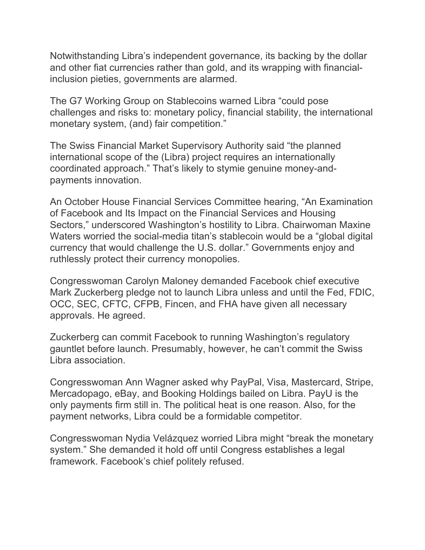Notwithstanding Libra's independent governance, its backing by the dollar and other fiat currencies rather than gold, and its wrapping with financialinclusion pieties, governments are alarmed.

The G7 Working Group on Stablecoins warned Libra "could pose challenges and risks to: monetary policy, financial stability, the international monetary system, (and) fair competition."

The Swiss Financial Market Supervisory Authority said "the planned international scope of the (Libra) project requires an internationally coordinated approach." That's likely to stymie genuine money-andpayments innovation.

An October House Financial Services Committee hearing, "An Examination of Facebook and Its Impact on the Financial Services and Housing Sectors," underscored Washington's hostility to Libra. Chairwoman Maxine Waters worried the social-media titan's stablecoin would be a "global digital currency that would challenge the U.S. dollar." Governments enjoy and ruthlessly protect their currency monopolies.

Congresswoman Carolyn Maloney demanded Facebook chief executive Mark Zuckerberg pledge not to launch Libra unless and until the Fed, FDIC, OCC, SEC, CFTC, CFPB, Fincen, and FHA have given all necessary approvals. He agreed.

Zuckerberg can commit Facebook to running Washington's regulatory gauntlet before launch. Presumably, however, he can't commit the Swiss Libra association.

Congresswoman Ann Wagner asked why PayPal, Visa, Mastercard, Stripe, Mercadopago, eBay, and Booking Holdings bailed on Libra. PayU is the only payments firm still in. The political heat is one reason. Also, for the payment networks, Libra could be a formidable competitor.

Congresswoman Nydia Velázquez worried Libra might "break the monetary system." She demanded it hold off until Congress establishes a legal framework. Facebook's chief politely refused.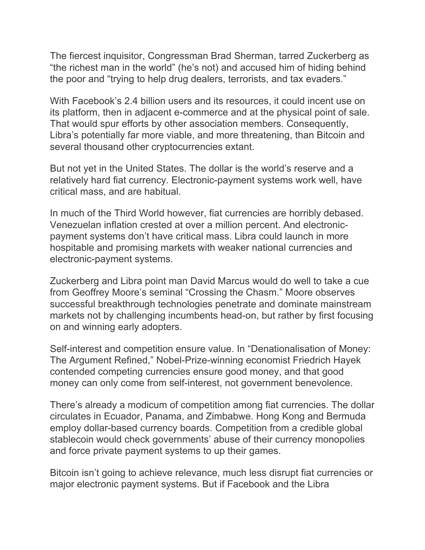The fiercest inquisitor, Congressman Brad Sherman, tarred Zuckerberg as "the richest man in the world" (he's not) and accused him of hiding behind the poor and "trying to help drug dealers, terrorists, and tax evaders."

With Facebook's 2.4 billion users and its resources, it could incent use on its platform, then in adjacent e-commerce and at the physical point of sale. That would spur efforts by other association members. Consequently, Libra's potentially far more viable, and more threatening, than Bitcoin and several thousand other cryptocurrencies extant.

But not yet in the United States. The dollar is the world's reserve and a relatively hard fiat currency. Electronic-payment systems work well, have critical mass, and are habitual.

In much of the Third World however, fiat currencies are horribly debased. Venezuelan inflation crested at over a million percent. And electronicpayment systems don't have critical mass. Libra could launch in more hospitable and promising markets with weaker national currencies and electronic-payment systems.

Zuckerberg and Libra point man David Marcus would do well to take a cue from Geoffrey Moore's seminal "Crossing the Chasm." Moore observes successful breakthrough technologies penetrate and dominate mainstream markets not by challenging incumbents head-on, but rather by first focusing on and winning early adopters.

Self-interest and competition ensure value. In "Denationalisation of Money: The Argument Refined," Nobel-Prize-winning economist Friedrich Hayek contended competing currencies ensure good money, and that good money can only come from self-interest, not government benevolence.

There's already a modicum of competition among fiat currencies. The dollar circulates in Ecuador, Panama, and Zimbabwe. Hong Kong and Bermuda employ dollar-based currency boards. Competition from a credible global stablecoin would check governments' abuse of their currency monopolies and force private payment systems to up their games.

Bitcoin isn't going to achieve relevance, much less disrupt fiat currencies or major electronic payment systems. But if Facebook and the Libra